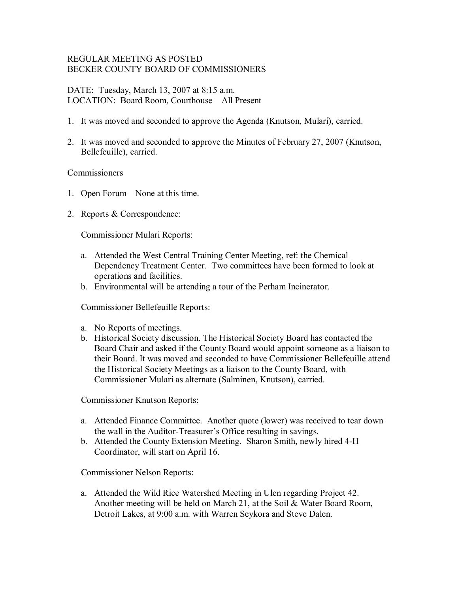# REGULAR MEETING AS POSTED BECKER COUNTY BOARD OF COMMISSIONERS

DATE: Tuesday, March 13, 2007 at 8:15 a.m. LOCATION: Board Room, Courthouse All Present

- 1. It was moved and seconded to approve the Agenda (Knutson, Mulari), carried.
- 2. It was moved and seconded to approve the Minutes of February 27, 2007 (Knutson, Bellefeuille), carried.

### Commissioners

- 1. Open Forum None at this time.
- 2. Reports & Correspondence:

Commissioner Mulari Reports:

- a. Attended the West Central Training Center Meeting, ref: the Chemical Dependency Treatment Center. Two committees have been formed to look at operations and facilities.
- b. Environmental will be attending a tour of the Perham Incinerator.

Commissioner Bellefeuille Reports:

- a. No Reports of meetings.
- b. Historical Society discussion. The Historical Society Board has contacted the Board Chair and asked if the County Board would appoint someone as a liaison to their Board. It was moved and seconded to have Commissioner Bellefeuille attend the Historical Society Meetings as a liaison to the County Board, with Commissioner Mulari as alternate (Salminen, Knutson), carried.

Commissioner Knutson Reports:

- a. Attended Finance Committee. Another quote (lower) was received to tear down the wall in the Auditor-Treasurer's Office resulting in savings.
- b. Attended the County Extension Meeting. Sharon Smith, newly hired 4H Coordinator, will start on April 16.

Commissioner Nelson Reports:

a. Attended the Wild Rice Watershed Meeting in Ulen regarding Project 42. Another meeting will be held on March 21, at the Soil & Water Board Room, Detroit Lakes, at 9:00 a.m. with Warren Seykora and Steve Dalen.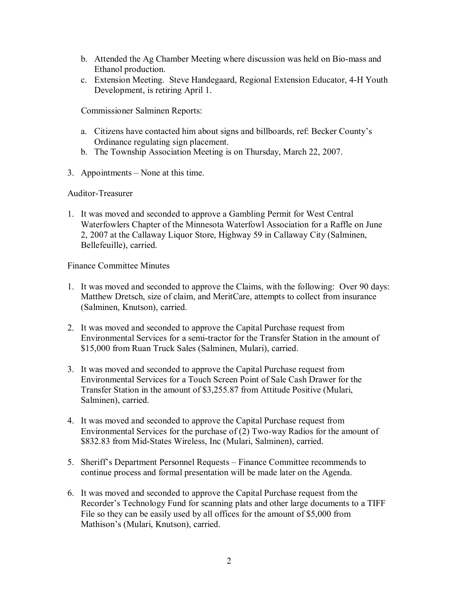- b. Attended the Ag Chamber Meeting where discussion was held on Bio-mass and Ethanol production.
- c. Extension Meeting. Steve Handegaard, Regional Extension Educator, 4H Youth Development, is retiring April 1.

Commissioner Salminen Reports:

- a. Citizens have contacted him about signs and billboards, ref: Becker County's Ordinance regulating sign placement.
- b. The Township Association Meeting is on Thursday, March 22, 2007.
- 3. Appointments None at this time.

### Auditor-Treasurer

1. It was moved and seconded to approve a Gambling Permit for West Central Waterfowlers Chapter of the Minnesota Waterfowl Association for a Raffle on June 2, 2007 at the Callaway Liquor Store, Highway 59 in Callaway City (Salminen, Bellefeuille), carried.

Finance Committee Minutes

- 1. It was moved and seconded to approve the Claims, with the following: Over 90 days: Matthew Dretsch, size of claim, and MeritCare, attempts to collect from insurance (Salminen, Knutson), carried.
- 2. It was moved and seconded to approve the Capital Purchase request from Environmental Services for a semi-tractor for the Transfer Station in the amount of \$15,000 from Ruan Truck Sales (Salminen, Mulari), carried.
- 3. It was moved and seconded to approve the Capital Purchase request from Environmental Services for a Touch Screen Point of Sale Cash Drawer for the Transfer Station in the amount of \$3,255.87 from Attitude Positive (Mulari, Salminen), carried.
- 4. It was moved and seconded to approve the Capital Purchase request from Environmental Services for the purchase of  $(2)$  Two-way Radios for the amount of \$832.83 from Mid-States Wireless, Inc (Mulari, Salminen), carried.
- 5. Sheriff's Department Personnel Requests Finance Committee recommends to continue process and formal presentation will be made later on the Agenda.
- 6. It was moved and seconded to approve the Capital Purchase request from the Recorder's Technology Fund for scanning plats and other large documents to a TIFF File so they can be easily used by all offices for the amount of \$5,000 from Mathison's (Mulari, Knutson), carried.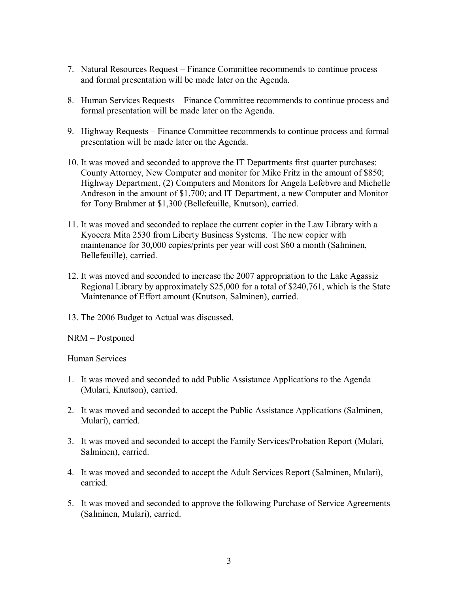- 7. Natural Resources Request Finance Committee recommends to continue process and formal presentation will be made later on the Agenda.
- 8. Human Services Requests Finance Committee recommends to continue process and formal presentation will be made later on the Agenda.
- 9. Highway Requests Finance Committee recommends to continue process and formal presentation will be made later on the Agenda.
- 10. It was moved and seconded to approve the IT Departments first quarter purchases: County Attorney, New Computer and monitor for Mike Fritz in the amount of \$850; Highway Department, (2) Computers and Monitors for Angela Lefebvre and Michelle Andreson in the amount of \$1,700; and IT Department, a new Computer and Monitor for Tony Brahmer at \$1,300 (Bellefeuille, Knutson), carried.
- 11. It was moved and seconded to replace the current copier in the Law Library with a Kyocera Mita 2530 from Liberty Business Systems. The new copier with maintenance for 30,000 copies/prints per year will cost \$60 a month (Salminen, Bellefeuille), carried.
- 12. It was moved and seconded to increase the 2007 appropriation to the Lake Agassiz Regional Library by approximately \$25,000 for a total of \$240,761, which is the State Maintenance of Effort amount (Knutson, Salminen), carried.
- 13. The 2006 Budget to Actual was discussed.

NRM – Postponed

Human Services

- 1. It was moved and seconded to add Public Assistance Applications to the Agenda (Mulari, Knutson), carried.
- 2. It was moved and seconded to accept the Public Assistance Applications (Salminen, Mulari), carried.
- 3. It was moved and seconded to accept the Family Services/Probation Report (Mulari, Salminen), carried.
- 4. It was moved and seconded to accept the Adult Services Report (Salminen, Mulari), carried.
- 5. It was moved and seconded to approve the following Purchase of Service Agreements (Salminen, Mulari), carried.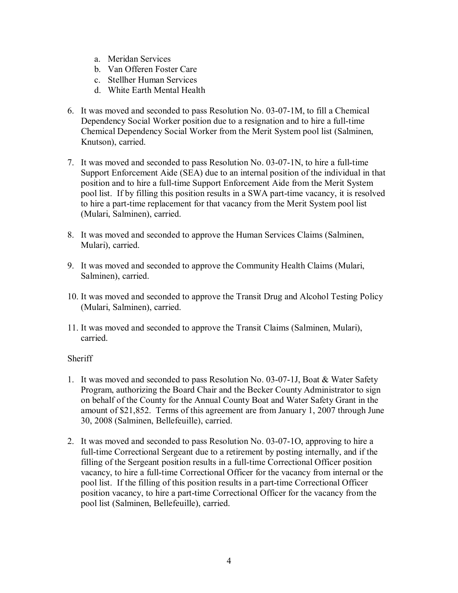- a. Meridan Services
- b. Van Offeren Foster Care
- c. Stellher Human Services
- d. White Earth Mental Health
- 6. It was moved and seconded to pass Resolution No.  $03-07-1M$ , to fill a Chemical Dependency Social Worker position due to a resignation and to hire a full-time Chemical Dependency Social Worker from the Merit System pool list (Salminen, Knutson), carried.
- 7. It was moved and seconded to pass Resolution No. 03-07-1N, to hire a full-time Support Enforcement Aide (SEA) due to an internal position of the individual in that position and to hire a full-time Support Enforcement Aide from the Merit System pool list. If by filling this position results in a SWA part-time vacancy, it is resolved to hire a part-time replacement for that vacancy from the Merit System pool list (Mulari, Salminen), carried.
- 8. It was moved and seconded to approve the Human Services Claims (Salminen, Mulari), carried.
- 9. It was moved and seconded to approve the Community Health Claims (Mulari, Salminen), carried.
- 10. It was moved and seconded to approve the Transit Drug and Alcohol Testing Policy (Mulari, Salminen), carried.
- 11. It was moved and seconded to approve the Transit Claims (Salminen, Mulari), carried.

# **Sheriff**

- 1. It was moved and seconded to pass Resolution No.  $03-07-1J$ , Boat & Water Safety Program, authorizing the Board Chair and the Becker County Administrator to sign on behalf of the County for the Annual County Boat and Water Safety Grant in the amount of \$21,852. Terms of this agreement are from January 1, 2007 through June 30, 2008 (Salminen, Bellefeuille), carried.
- 2. It was moved and seconded to pass Resolution No. 03-07-1O, approving to hire a full-time Correctional Sergeant due to a retirement by posting internally, and if the filling of the Sergeant position results in a full-time Correctional Officer position vacancy, to hire a full-time Correctional Officer for the vacancy from internal or the pool list. If the filling of this position results in a part-time Correctional Officer position vacancy, to hire a part-time Correctional Officer for the vacancy from the pool list (Salminen, Bellefeuille), carried.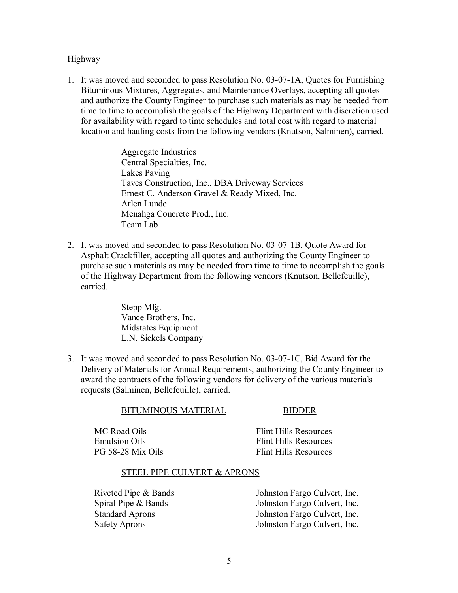Highway

1. It was moved and seconded to pass Resolution No. 03-07-1A, Quotes for Furnishing Bituminous Mixtures, Aggregates, and Maintenance Overlays, accepting all quotes and authorize the County Engineer to purchase such materials as may be needed from time to time to accomplish the goals of the Highway Department with discretion used for availability with regard to time schedules and total cost with regard to material location and hauling costs from the following vendors (Knutson, Salminen), carried.

> Aggregate Industries Central Specialties, Inc. Lakes Paving Taves Construction, Inc., DBA Driveway Services Ernest C. Anderson Gravel & Ready Mixed, Inc. Arlen Lunde Menahga Concrete Prod., Inc. Team Lab

2. It was moved and seconded to pass Resolution No.  $03-07-1B$ , Quote Award for Asphalt Crackfiller, accepting all quotes and authorizing the County Engineer to purchase such materials as may be needed from time to time to accomplish the goals of the Highway Department from the following vendors (Knutson, Bellefeuille), carried.

> Stepp Mfg. Vance Brothers, Inc. Midstates Equipment L.N. Sickels Company

3. It was moved and seconded to pass Resolution No. 03-07-1C, Bid Award for the Delivery of Materials for Annual Requirements, authorizing the County Engineer to award the contracts of the following vendors for delivery of the various materials requests (Salminen, Bellefeuille), carried.

| MC Road Oils         | Flint Hills Resources        |
|----------------------|------------------------------|
| <b>Emulsion Oils</b> | <b>Flint Hills Resources</b> |
| PG 58-28 Mix Oils    | Flint Hills Resources        |

BITUMINOUS MATERIAL BIDDER

#### STEEL PIPE CULVERT & APRONS

Riveted Pipe & Bands Johnston Fargo Culvert, Inc. Spiral Pipe & Bands Johnston Fargo Culvert, Inc. Standard Aprons Johnston Fargo Culvert, Inc. Safety Aprons Johnston Fargo Culvert, Inc.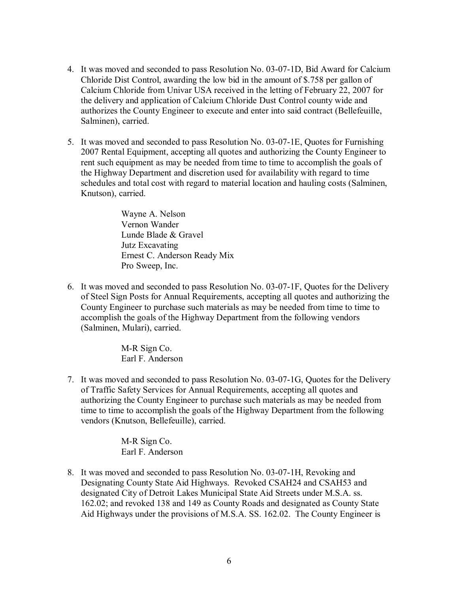- 4. It was moved and seconded to pass Resolution No. 03-07-1D, Bid Award for Calcium Chloride Dist Control, awarding the low bid in the amount of \$.758 per gallon of Calcium Chloride from Univar USA received in the letting of February 22, 2007 for the delivery and application of Calcium Chloride Dust Control county wide and authorizes the County Engineer to execute and enter into said contract (Bellefeuille, Salminen), carried.
- 5. It was moved and seconded to pass Resolution No.  $03-07-1E$ , Quotes for Furnishing 2007 Rental Equipment, accepting all quotes and authorizing the County Engineer to rent such equipment as may be needed from time to time to accomplish the goals of the Highway Department and discretion used for availability with regard to time schedules and total cost with regard to material location and hauling costs (Salminen, Knutson), carried.

Wayne A. Nelson Vernon Wander Lunde Blade & Gravel Jutz Excavating Ernest C. Anderson Ready Mix Pro Sweep, Inc.

6. It was moved and seconded to pass Resolution No.  $03-07-1$  F, Quotes for the Delivery of Steel Sign Posts for Annual Requirements, accepting all quotes and authorizing the County Engineer to purchase such materials as may be needed from time to time to accomplish the goals of the Highway Department from the following vendors (Salminen, Mulari), carried.

> M-R Sign Co. Earl F. Anderson

7. It was moved and seconded to pass Resolution No. 03-07-1G, Quotes for the Delivery of Traffic Safety Services for Annual Requirements, accepting all quotes and authorizing the County Engineer to purchase such materials as may be needed from time to time to accomplish the goals of the Highway Department from the following vendors (Knutson, Bellefeuille), carried.

> M-R Sign Co. Earl F. Anderson

8. It was moved and seconded to pass Resolution No. 03-07-1H, Revoking and Designating County State Aid Highways. Revoked CSAH24 and CSAH53 and designated City of Detroit Lakes Municipal State Aid Streets under M.S.A. ss. 162.02; and revoked 138 and 149 as County Roads and designated as County State Aid Highways under the provisions of M.S.A. SS. 162.02. The County Engineer is